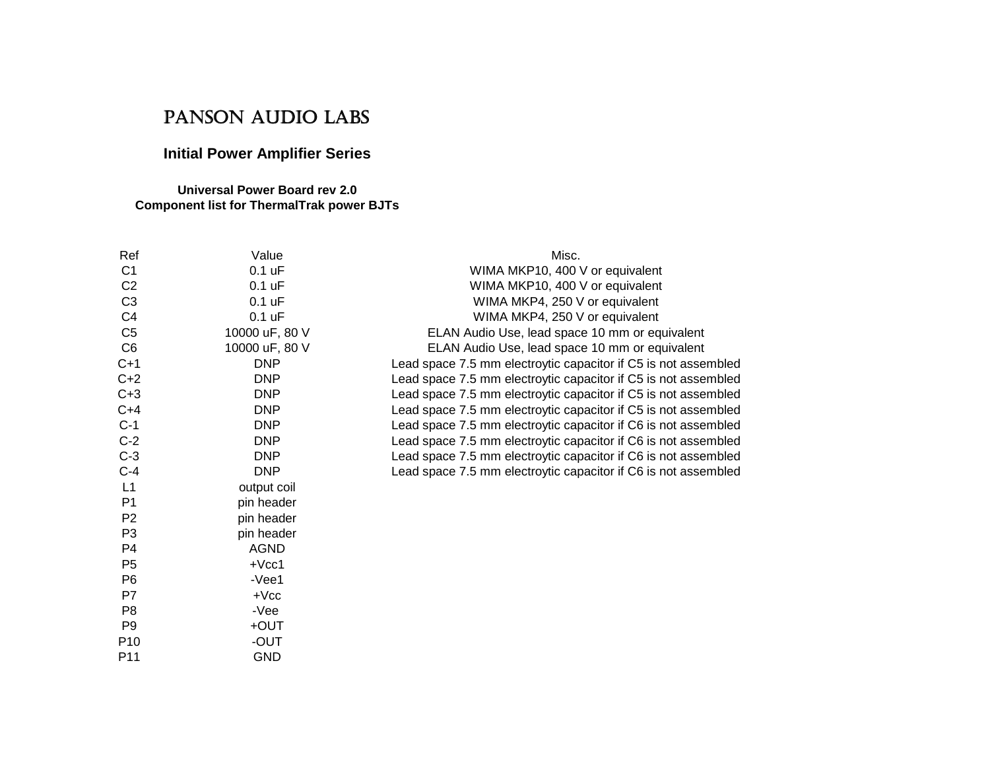## PANSON AUDIO LABS

## **Initial Power Amplifier Series**

## **Universal Power Board rev 2.0Component list for ThermalTrak power BJTs**

| Ref             | Value          | Misc.                                                          |
|-----------------|----------------|----------------------------------------------------------------|
| C <sub>1</sub>  | $0.1$ uF       | WIMA MKP10, 400 V or equivalent                                |
| C <sub>2</sub>  | $0.1$ uF       | WIMA MKP10, 400 V or equivalent                                |
| C <sub>3</sub>  | $0.1$ uF       | WIMA MKP4, 250 V or equivalent                                 |
| C <sub>4</sub>  | $0.1$ uF       | WIMA MKP4, 250 V or equivalent                                 |
| C <sub>5</sub>  | 10000 uF, 80 V | ELAN Audio Use, lead space 10 mm or equivalent                 |
| C <sub>6</sub>  | 10000 uF, 80 V | ELAN Audio Use, lead space 10 mm or equivalent                 |
| $C+1$           | <b>DNP</b>     | Lead space 7.5 mm electroytic capacitor if C5 is not assembled |
| $C+2$           | <b>DNP</b>     | Lead space 7.5 mm electroytic capacitor if C5 is not assembled |
| $C+3$           | <b>DNP</b>     | Lead space 7.5 mm electroytic capacitor if C5 is not assembled |
| $C+4$           | <b>DNP</b>     | Lead space 7.5 mm electroytic capacitor if C5 is not assembled |
| $C-1$           | <b>DNP</b>     | Lead space 7.5 mm electroytic capacitor if C6 is not assembled |
| $C-2$           | <b>DNP</b>     | Lead space 7.5 mm electroytic capacitor if C6 is not assembled |
| $C-3$           | <b>DNP</b>     | Lead space 7.5 mm electroytic capacitor if C6 is not assembled |
| $C-4$           | <b>DNP</b>     | Lead space 7.5 mm electroytic capacitor if C6 is not assembled |
| L1              | output coil    |                                                                |
| P <sub>1</sub>  | pin header     |                                                                |
| P <sub>2</sub>  | pin header     |                                                                |
| P <sub>3</sub>  | pin header     |                                                                |
| P <sub>4</sub>  | <b>AGND</b>    |                                                                |
| P <sub>5</sub>  | $+$ $Vcc1$     |                                                                |
| P <sub>6</sub>  | $-Vee1$        |                                                                |
| P7              | $+$ $Vcc$      |                                                                |
| P <sub>8</sub>  | -Vee           |                                                                |
| P <sub>9</sub>  | +OUT           |                                                                |
| P <sub>10</sub> | -OUT           |                                                                |
| P <sub>11</sub> | <b>GND</b>     |                                                                |